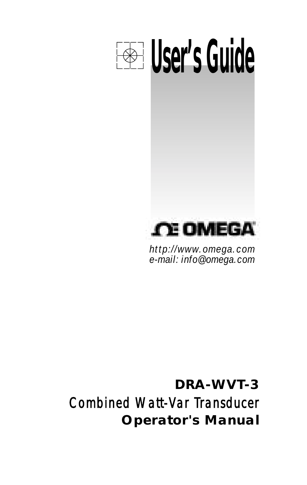

*http://www.omega.com e-mail: info@omega.com*

**DRA-WVT-3** Combined Watt-Var Transducer **Operator's Manual**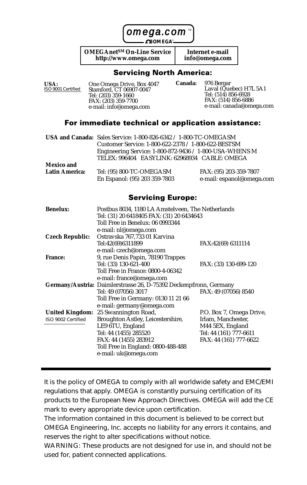omega.com

**OMEGA**®

**OMEGAnetSM On-Line Service http://www.omega.com**

**Internet e-mail info@omega.com**

#### **Servicing North America:**

| ISO 9001 Certified<br>Stamford, CT 06907-0047<br>Tel: (203) 359-1660<br>FAX: (203) 359-7700<br>e-mail: info@omega.com | Laval (Quebec) H7L 5A1<br>Tel: (514) 856-6928<br>FAX: (514) 856-6886<br>e-mail: canada@omega.com |
|-----------------------------------------------------------------------------------------------------------------------|--------------------------------------------------------------------------------------------------|
|-----------------------------------------------------------------------------------------------------------------------|--------------------------------------------------------------------------------------------------|

#### For immediate technical or application assistance:

|                | USA and Canada: Sales Service: 1-800-826-6342 / 1-800-TC-OMEGASM |                           |
|----------------|------------------------------------------------------------------|---------------------------|
|                | Customer Service: 1-800-622-2378 / 1-800-622-BESTSM              |                           |
|                | Engineering Service: 1-800-872-9436 / 1-800-USA-WHENS M          |                           |
|                | TELEX: 996404 EASYLINK: 62968934 CABLE: OMEGA                    |                           |
| Mexico and     |                                                                  |                           |
| Latin America: | Tel: (95) 800-TC-OMEGASM                                         | FAX: (95) 203-359-7807    |
|                | En Espanol: (95) 203 359-7803                                    | e-mail: espanol@omega.com |

#### **Servicing Europe:**

| Benelux:           | Postbus 8034, 1180 LA Amstelveen. The Netherlands                 |                          |  |
|--------------------|-------------------------------------------------------------------|--------------------------|--|
|                    | Tel: (31) 20 6418405 FAX: (31) 20 6434643                         |                          |  |
|                    | Toll Free in Benelux: 06 0993344                                  |                          |  |
|                    | e-mail: nl@omega.com                                              |                          |  |
| Czech Republic:    | Ostravska 767.733 01 Karvina                                      |                          |  |
|                    | Tel:42(69)6311899                                                 | FAX:42(69) 6311114       |  |
|                    | e-mail: czech@omega.com                                           |                          |  |
| France:            | 9, rue Denis Papin, 78190 Trappes                                 |                          |  |
|                    | Tel: (33) 130-621-400                                             | FAX: (33) 130-699-120    |  |
|                    | Toll Free in France: 0800-4-06342                                 |                          |  |
|                    | e-mail: france@omega.com                                          |                          |  |
|                    | Germany/Austria: Daimlerstrasse 26, D-75392 Deckenpfronn, Germany |                          |  |
|                    | Tel: 49 (07056) 3017                                              | FAX: 49 (07056) 8540     |  |
|                    | Toll Free in Germany: 0130 11 21 66                               |                          |  |
|                    | e-mail: germany@omega.com                                         |                          |  |
| United Kingdom:    | 25 Swannington Road,                                              | P.O. Box 7, Omega Drive, |  |
| ISO 9002 Certified | Broughton Astley, Leicestershire,                                 | Irlam. Manchester.       |  |
|                    | LE9 6TU, England                                                  | M44 5EX, England         |  |
|                    | Tel: 44 (1455) 285520                                             | Tel: 44 (161) 777-6611   |  |
|                    | FAX: 44 (1455) 283912                                             | FAX: 44 (161) 777-6622   |  |
|                    | Toll Free in England: 0800-488-488                                |                          |  |
|                    | e-mail: uk@omega.com                                              |                          |  |
|                    |                                                                   |                          |  |

It is the policy of OMEGA to comply with all worldwide safety and EMC/EMI regulations that apply. OMEGA is constantly pursuing certification of its products to the European New Approach Directives. OMEGA will add the CE mark to every appropriate device upon certification.

The information contained in this document is believed to be correct but OMEGA Engineering, Inc. accepts no liability for any errors it contains, and reserves the right to alter specifications without notice.

WARNING: These products are not designed for use in, and should not be used for, patient connected applications.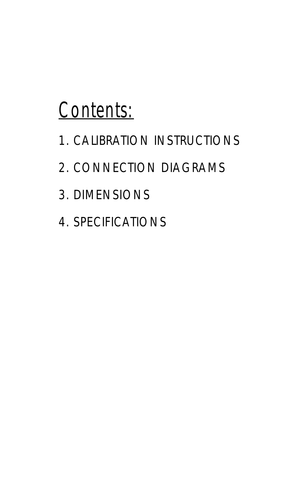# Contents:

- 1. CALIBRATION INSTRUCTIONS
- 2. CONNECTION DIAGRAMS
- 3. DIMENSIONS
- 4. SPECIFICATIONS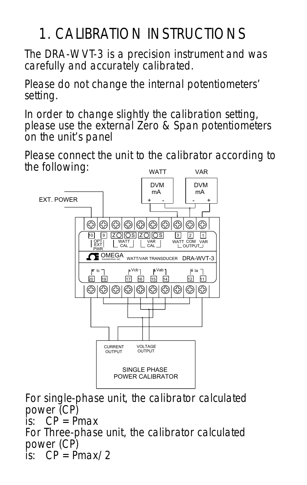# 1. CALIBRATION INSTRUCTIONS

The DRA-WVT-3 is a precision instrument and was carefully and accurately calibrated.

Please do not change the internal potentiometers' setting.

In order to change slightly the calibration setting, please use the external Zero & Span potentiometers on the unit's panel

WATT VAR Please connect the unit to the calibrator according to the following:

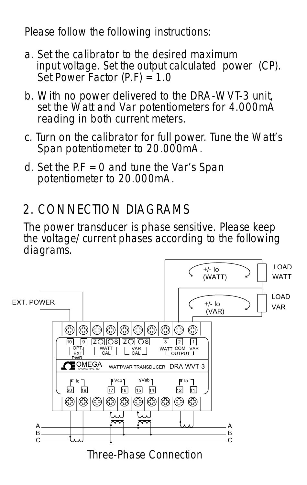Please follow the following instructions:

- a. Set the calibrator to the desired maximum input voltage. Set the output calculated power (CP). Set Power Factor  $(P,F) = 1.0$
- b. With no power delivered to the DRA-WVT-3 unit, set the Watt and Var potentiometers for 4.000mA reading in both current meters.
- c. Turn on the calibrator for full power. Tune the Watt's Span potentiometer to 20.000mA.
- d. Set the  $PF = 0$  and tune the Var's Span potentiometer to 20.000mA.

### 2. CONNECTION DIAGRAMS

The power transducer is phase sensitive. Please keep the voltage/current phases according to the following diagrams.

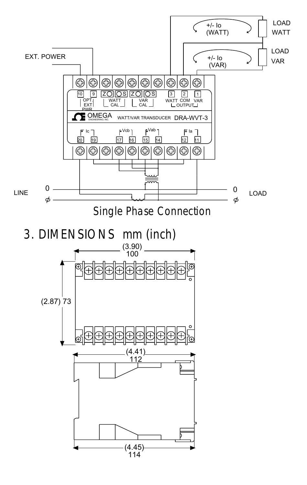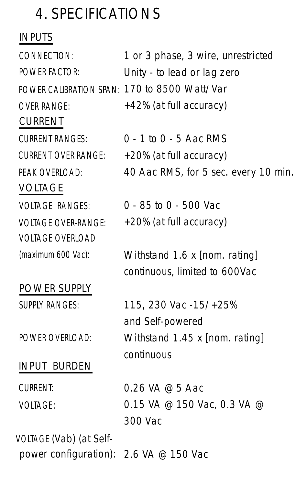## 4. SPECIFICATIONS

### INPUTS

1 or 3 phase, 3 wire, unrestricted Unity - to lead or lag zero POWER CALIBRATION SPAN: 170 to 8500 Watt/Var +42% (at full accuracy) 0 - 1 to 0 - 5 Aac RMS +20% (at full accuracy) 40 Aac RMS, for 5 sec. every 10 min. 0 - 85 to 0 - 500 Vac +20% (at full accuracy) Withstand 1.6 x [nom. rating] continuous, limited to 600Vac 115, 230 Vac -15/+25% and Self-powered Withstand 1.45 x [nom. rating] continuous 0.26 VA @ 5 Aac 0.15 VA @ 150 Vac, 0.3 VA @ 300 Vac power configuration): 2.6 VA @ 150 Vac CURRENT VOLTAGE POWER SUPPLY INPUT BURDEN CONNECTION: POWER FACTOR: OVER RANGE: CURRENT RANGES: CURRENT OVER RANGE: PEAK OVERLOAD: VOLTAGE RANGES: VOLTAGE OVER-RANGE: VOLTAGE OVERLOAD (maximum 600 Vac): SUPPLY RANGES: POWER OVERLOAD: CURRENT: VOLTAGE: VOLTAGE (Vab) (at Self-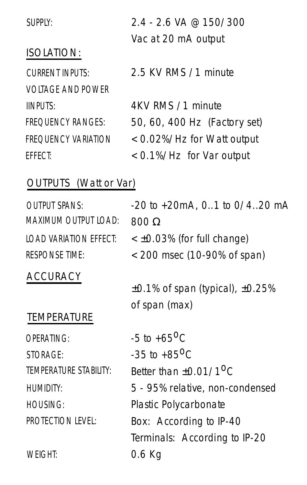| SUPPLY:                  | $2.4 - 2.6$ VA @ 150/300     |
|--------------------------|------------------------------|
|                          | Vac at 20 mA output          |
| <b>ISOLATION:</b>        |                              |
| <b>CURRENT INPUTS:</b>   | 2.5 KV RMS /1 minute         |
| <b>VOLTAGE AND POWER</b> |                              |
| <b>IINPUTS:</b>          | 4KV RMS /1 minute            |
| <b>FREQUENCY RANGES:</b> | 50, 60, 400 Hz (Factory set) |
| FREQUENCY VARIATION      | < 0.02%/Hz for Watt output   |
| FFFFCT:                  | < 0.1%/Hz for Var output     |
|                          |                              |

### OUTPUTS (Watt or Var)

| $-20$ to $+20$ mA, 0, 1 to 0/4, 20 mA<br>$800 \Omega$ |
|-------------------------------------------------------|
| < ±0.03% (for full change)                            |
| < 200 msec (10-90% of span)                           |
|                                                       |
| $\pm$ 0.1% of span (typical), $\pm$ 0.25%             |
| of span (max)                                         |
|                                                       |
| $-5$ to $+65^{\circ}$ C                               |
| $-35$ to $+85$ <sup>O</sup> C                         |
| Better than $+0.01/10C$                               |
| 5 - 95% relative, non-condensed                       |
| Plastic Polycarbonate                                 |
| Box: According to IP-40                               |
| Terminals: According to IP-20                         |
| 0.6 Kg                                                |
|                                                       |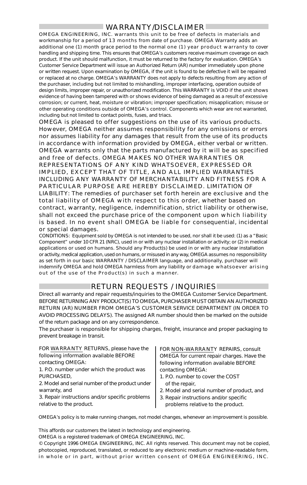#### WARRANTY/DISCLAIMER

OMEGA ENGINEERING, INC. warrants this unit to be free of defects in materials and workmanship for a period of 13 months from date of purchase. OMEGA Warranty adds an additional one (1) month grace period to the normal one (1) year product warranty to cover handling and shipping time. This ensures that OMEGA's customers receive maximum coverage on each product. If the unit should malfunction, it must be returned to the factory for evaluation. OMEGA's Customer Service Department will issue an Authorized Return (AR) number immediately upon phone or written request. Upon examination by OMEGA, if the unit is found to be defective it will be repaired or replaced at no charge. OMEGA's WARRANTY does not apply to defects resulting from any action of the purchaser, including but not limited to mishandling, improper interfacing, operation outside of design limits, improper repair, or unauthorized modification. This WARRANTY is VOID if the unit shows evidence of having been tampered with or shows evidence of being damaged as a result of excessive corrosion; or current, heat, moisture or vibration; improper specification; misapplication; misuse or other operating conditions outside of OMEGA's control. Components which wear are not warranted, including but not limited to contact points, fuses, and triacs.

OMEGA is pleased to offer suggestions on the use of its various products. However, OMEGA neither assumes responsibility for any omissions or errors nor assumes liability for any damages that result from the use of its products in accordance with information provided by OMEGA, either verbal or written. OMEGA warrants only that the parts manufactured by it will be as specified and free of defects. OMEGA MAKES NO OTHER WARRANTIES OR REPRESENTATIONS OF ANY KIND WHATSOEVER, EXPRESSED OR IMPLIED, EXCEPT THAT OF TITLE, AND ALL IMPLIED WARRANTIES INCLUDING ANY WARRANTY OF MERCHANTABILITY AND FITNESS FOR A PARTICULAR PURPOSE ARE HEREBY DISCLAIMED. LIMITATION OF LIABILITY: The remedies of purchaser set forth herein are exclusive and the total liability of OMEGA with respect to this order, whether based on contract, warranty, negligence, indemnification, strict liability or otherwise, shall not exceed the purchase price of the component upon which liability is based. In no event shall OMEGA be liable for consequential, incidental or special damages.

CONDITIONS: Equipment sold by OMEGA is not intended to be used, nor shall it be used: (1) as a "Basic Component" under 10 CFR 21 (NRC), used in or with any nuclear installation or activity; or (2) in medical applications or used on humans. Should any Product(s) be used in or with any nuclear installation or activity, medical application, used on humans, or misused in any way, OMEGA assumes no responsibility as set forth in our basic WARRANTY / DISCLAIMER language, and additionally, purchaser will indemnify OMEGA and hold OMEGA harmless from any liability or damage whatsoever arising out of the use of the Product(s) in such a manner.

#### RETURN REQUESTS / INQUIRIES

Direct all warranty and repair requests/inquiries to the OMEGA Customer Service Department. BEFORE RETURNING ANY PRODUCT(S) TO OMEGA, PURCHASER MUST OBTAIN AN AUTHORIZED RETURN (AR) NUMBER FROM OMEGA'S CUSTOMER SERVICE DEPARTMENT (IN ORDER TO AVOID PROCESSING DELAYS). The assigned AR number should then be marked on the outside of the return package and on any correspondence.

The purchaser is responsible for shipping charges, freight, insurance and proper packaging to prevent breakage in transit.

FOR WARRANTY RETURNS, please have the following information available BEFORE contacting OMEGA:

1. P.O. number under which the product was PURCHASED,

2. Model and serial number of the product under warranty, and

3. Repair instructions and/or specific problems relative to the product.

FOR NON-WARRANTY REPAIRS, consult OMEGA for current repair charges. Have the following information available BEFORE contacting OMEGA:

- 1. P.O. number to cover the COST of the repair,
- 2. Model and serial number of product, and
- 3. Repair instructions and/or specific problems relative to the product.

OMEGA's policy is to make running changes, not model changes, whenever an improvement is possible.

This affords our customers the latest in technology and engineering.

OMEGA is a registered trademark of OMEGA ENGINEERING, INC.

© Copyright 1996 OMEGA ENGINEERING, INC. All rights reserved. This document may not be copied, photocopied, reproduced, translated, or reduced to any electronic medium or machine-readable form, in whole or in part, without prior written consent of OMEGA ENGINEERING, INC.